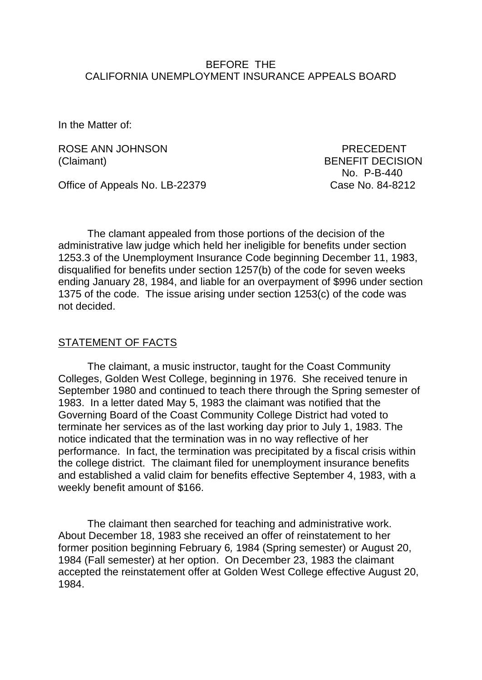### BEFORE THE CALIFORNIA UNEMPLOYMENT INSURANCE APPEALS BOARD

In the Matter of:

ROSE ANN JOHNSON PRECEDENT (Claimant) BENEFIT DECISION

No. P-B-440

Office of Appeals No. LB-22379 Case No. 84-8212

The clamant appealed from those portions of the decision of the administrative law judge which held her ineligible for benefits under section 1253.3 of the Unemployment Insurance Code beginning December 11, 1983, disqualified for benefits under section 1257(b) of the code for seven weeks ending January 28, 1984, and liable for an overpayment of \$996 under section 1375 of the code. The issue arising under section 1253(c) of the code was not decided.

#### STATEMENT OF FACTS

The claimant, a music instructor, taught for the Coast Community Colleges, Golden West College, beginning in 1976. She received tenure in September 1980 and continued to teach there through the Spring semester of 1983. In a letter dated May 5, 1983 the claimant was notified that the Governing Board of the Coast Community College District had voted to terminate her services as of the last working day prior to July 1, 1983. The notice indicated that the termination was in no way reflective of her performance. In fact, the termination was precipitated by a fiscal crisis within the college district. The claimant filed for unemployment insurance benefits and established a valid claim for benefits effective September 4, 1983, with a weekly benefit amount of \$166.

The claimant then searched for teaching and administrative work. About December 18, 1983 she received an offer of reinstatement to her former position beginning February 6*,* 1984 (Spring semester) or August 20, 1984 (Fall semester) at her option. On December 23, 1983 the claimant accepted the reinstatement offer at Golden West College effective August 20, 1984.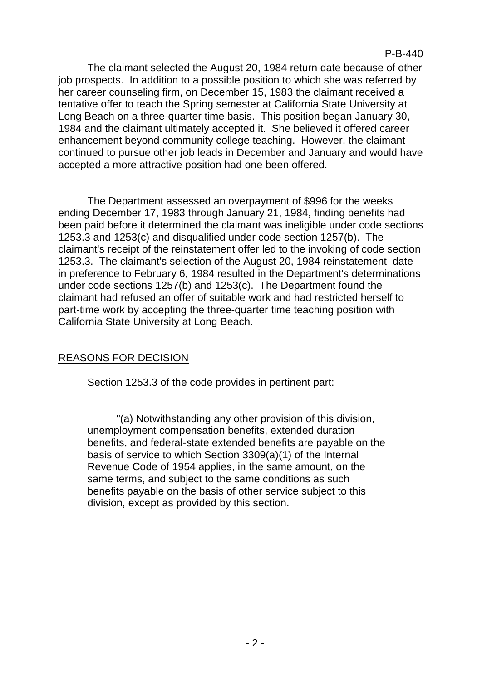The claimant selected the August 20, 1984 return date because of other job prospects. In addition to a possible position to which she was referred by her career counseling firm, on December 15, 1983 the claimant received a tentative offer to teach the Spring semester at California State University at Long Beach on a three-quarter time basis. This position began January 30, 1984 and the claimant ultimately accepted it. She believed it offered career enhancement beyond community college teaching. However, the claimant continued to pursue other job leads in December and January and would have accepted a more attractive position had one been offered.

The Department assessed an overpayment of \$996 for the weeks ending December 17, 1983 through January 21, 1984, finding benefits had been paid before it determined the claimant was ineligible under code sections 1253.3 and 1253(c) and disqualified under code section 1257(b). The claimant's receipt of the reinstatement offer led to the invoking of code section 1253.3. The claimant's selection of the August 20, 1984 reinstatement date in preference to February 6, 1984 resulted in the Department's determinations under code sections 1257(b) and 1253(c). The Department found the claimant had refused an offer of suitable work and had restricted herself to part-time work by accepting the three-quarter time teaching position with California State University at Long Beach.

# REASONS FOR DECISION

Section 1253.3 of the code provides in pertinent part:

"(a) Notwithstanding any other provision of this division, unemployment compensation benefits, extended duration benefits, and federal-state extended benefits are payable on the basis of service to which Section 3309(a)(1) of the Internal Revenue Code of 1954 applies, in the same amount, on the same terms, and subject to the same conditions as such benefits payable on the basis of other service subject to this division, except as provided by this section.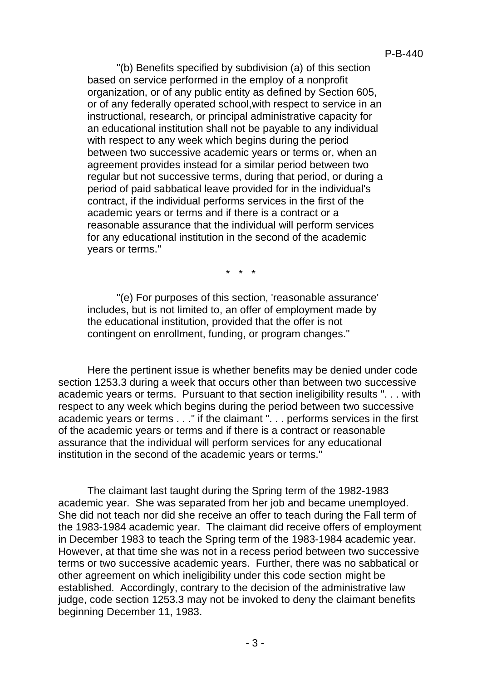"(b) Benefits specified by subdivision (a) of this section based on service performed in the employ of a nonprofit organization, or of any public entity as defined by Section 605, or of any federally operated school,with respect to service in an instructional, research, or principal administrative capacity for an educational institution shall not be payable to any individual with respect to any week which begins during the period between two successive academic years or terms or, when an agreement provides instead for a similar period between two regular but not successive terms, during that period, or during a period of paid sabbatical leave provided for in the individual's contract, if the individual performs services in the first of the academic years or terms and if there is a contract or a reasonable assurance that the individual will perform services for any educational institution in the second of the academic years or terms."

\* \* \*

"(e) For purposes of this section, 'reasonable assurance' includes, but is not limited to, an offer of employment made by the educational institution, provided that the offer is not contingent on enrollment, funding, or program changes."

Here the pertinent issue is whether benefits may be denied under code section 1253.3 during a week that occurs other than between two successive academic years or terms. Pursuant to that section ineligibility results ". . . with respect to any week which begins during the period between two successive academic years or terms . . ." if the claimant ". . . performs services in the first of the academic years or terms and if there is a contract or reasonable assurance that the individual will perform services for any educational institution in the second of the academic years or terms."

The claimant last taught during the Spring term of the 1982-1983 academic year. She was separated from her job and became unemployed. She did not teach nor did she receive an offer to teach during the Fall term of the 1983-1984 academic year. The claimant did receive offers of employment in December 1983 to teach the Spring term of the 1983-1984 academic year. However, at that time she was not in a recess period between two successive terms or two successive academic years. Further, there was no sabbatical or other agreement on which ineligibility under this code section might be established. Accordingly, contrary to the decision of the administrative law judge, code section 1253.3 may not be invoked to deny the claimant benefits beginning December 11, 1983.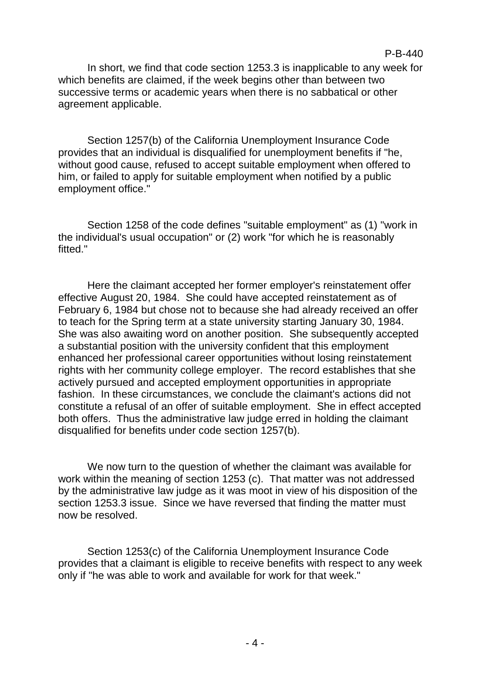In short, we find that code section 1253.3 is inapplicable to any week for which benefits are claimed, if the week begins other than between two successive terms or academic years when there is no sabbatical or other agreement applicable.

Section 1257(b) of the California Unemployment Insurance Code provides that an individual is disqualified for unemployment benefits if "he, without good cause, refused to accept suitable employment when offered to him, or failed to apply for suitable employment when notified by a public employment office."

Section 1258 of the code defines "suitable employment" as (1) "work in the individual's usual occupation" or (2) work "for which he is reasonably fitted."

Here the claimant accepted her former employer's reinstatement offer effective August 20, 1984. She could have accepted reinstatement as of February 6, 1984 but chose not to because she had already received an offer to teach for the Spring term at a state university starting January 30, 1984. She was also awaiting word on another position. She subsequently accepted a substantial position with the university confident that this employment enhanced her professional career opportunities without losing reinstatement rights with her community college employer. The record establishes that she actively pursued and accepted employment opportunities in appropriate fashion. In these circumstances, we conclude the claimant's actions did not constitute a refusal of an offer of suitable employment. She in effect accepted both offers. Thus the administrative law judge erred in holding the claimant disqualified for benefits under code section 1257(b).

We now turn to the question of whether the claimant was available for work within the meaning of section 1253 (c). That matter was not addressed by the administrative law judge as it was moot in view of his disposition of the section 1253.3 issue. Since we have reversed that finding the matter must now be resolved.

Section 1253(c) of the California Unemployment Insurance Code provides that a claimant is eligible to receive benefits with respect to any week only if "he was able to work and available for work for that week."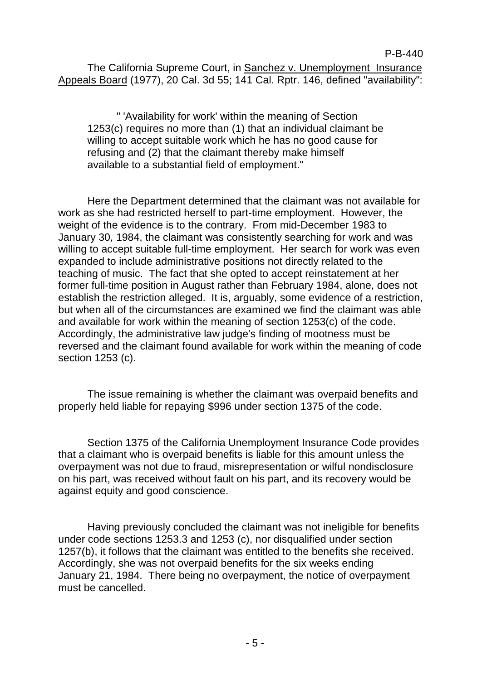The California Supreme Court, in Sanchez v. Unemployment Insurance Appeals Board (1977), 20 Cal. 3d 55; 141 Cal. Rptr. 146, defined "availability":

" 'Availability for work' within the meaning of Section 1253(c) requires no more than (1) that an individual claimant be willing to accept suitable work which he has no good cause for refusing and (2) that the claimant thereby make himself available to a substantial field of employment."

Here the Department determined that the claimant was not available for work as she had restricted herself to part-time employment. However, the weight of the evidence is to the contrary. From mid-December 1983 to January 30, 1984, the claimant was consistently searching for work and was willing to accept suitable full-time employment. Her search for work was even expanded to include administrative positions not directly related to the teaching of music. The fact that she opted to accept reinstatement at her former full-time position in August rather than February 1984, alone, does not establish the restriction alleged. It is, arguably, some evidence of a restriction, but when all of the circumstances are examined we find the claimant was able and available for work within the meaning of section 1253(c) of the code. Accordingly, the administrative law judge's finding of mootness must be reversed and the claimant found available for work within the meaning of code section 1253 (c).

The issue remaining is whether the claimant was overpaid benefits and properly held liable for repaying \$996 under section 1375 of the code.

Section 1375 of the California Unemployment Insurance Code provides that a claimant who is overpaid benefits is liable for this amount unless the overpayment was not due to fraud, misrepresentation or wilful nondisclosure on his part, was received without fault on his part, and its recovery would be against equity and good conscience.

Having previously concluded the claimant was not ineligible for benefits under code sections 1253.3 and 1253 (c), nor disqualified under section 1257(b), it follows that the claimant was entitled to the benefits she received. Accordingly, she was not overpaid benefits for the six weeks ending January 21, 1984. There being no overpayment, the notice of overpayment must be cancelled.